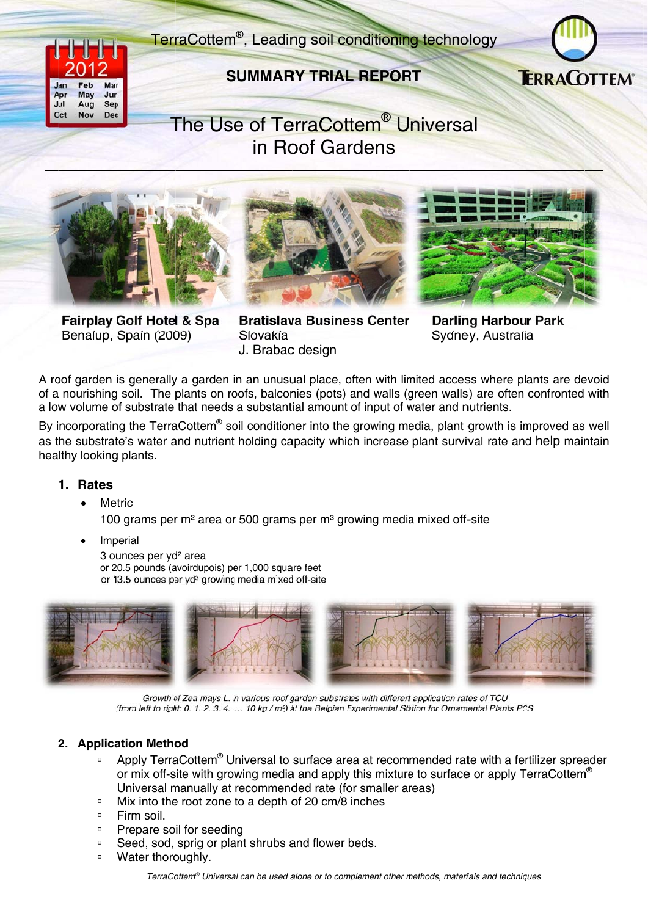# TerraCottem<sup>®</sup>, Leading soil conditioning technology



## **SUMMARY TRIAL REPORT**



# The Use of TerraCottem<sup>®</sup> Universal in Roof Gardens







**Fairplay Golf Hotel & Spa** Benalup, Spain (2009)

**Bratislava Business Center** Slovakía J. Brabac design

**Darling Harbour Park** Sydney, Australia

A roof garden is generally a garden in an unusual place, often with limited access where plants are devoid of a nourishing soil. The plants on roofs, balconies (pots) and walls (green walls) are often confronted with a low volume of substrate that needs a substantial amount of input of water and nutrients.

By incorporating the TerraCottem<sup>®</sup> soil conditioner into the growing media, plant growth is improved as well as the substrate's water and nutrient holding capacity which increase plant survival rate and help maintain healthy looking plants.

#### 1. Rates

Metric

100 grams per m<sup>2</sup> area or 500 grams per m<sup>3</sup> growing media mixed off-site

Imperial

3 ounces per vd<sup>2</sup> area or 20.5 pounds (avoirdupois) per 1,000 square feet or 13.5 ounces per yd<sup>3</sup> growing media mixed off-site



Growth of Zea mays L. in various roof garden substrates with different application rates of TCU (from left to right: 0, 1, 2, 3, 4, ..., 10 kg / m<sup>3</sup>) at the Belgian Experimental Station for Ornamental Plants PCS

### 2. Application Method

- Apply TerraCottem<sup>®</sup> Universal to surface area at recommended rate with a fertilizer spreader  $\Box$ or mix off-site with growing media and apply this mixture to surface or apply TerraCottem<sup>®</sup> Universal manually at recommended rate (for smaller areas)
- Mix into the root zone to a depth of 20 cm/8 inches  $\Box$
- <sup>□</sup> Firm soil.
- $\Box$ Prepare soil for seeding
- Seed, sod, sprig or plant shrubs and flower beds.  $\Box$
- <sup>D</sup> Water thoroughly.